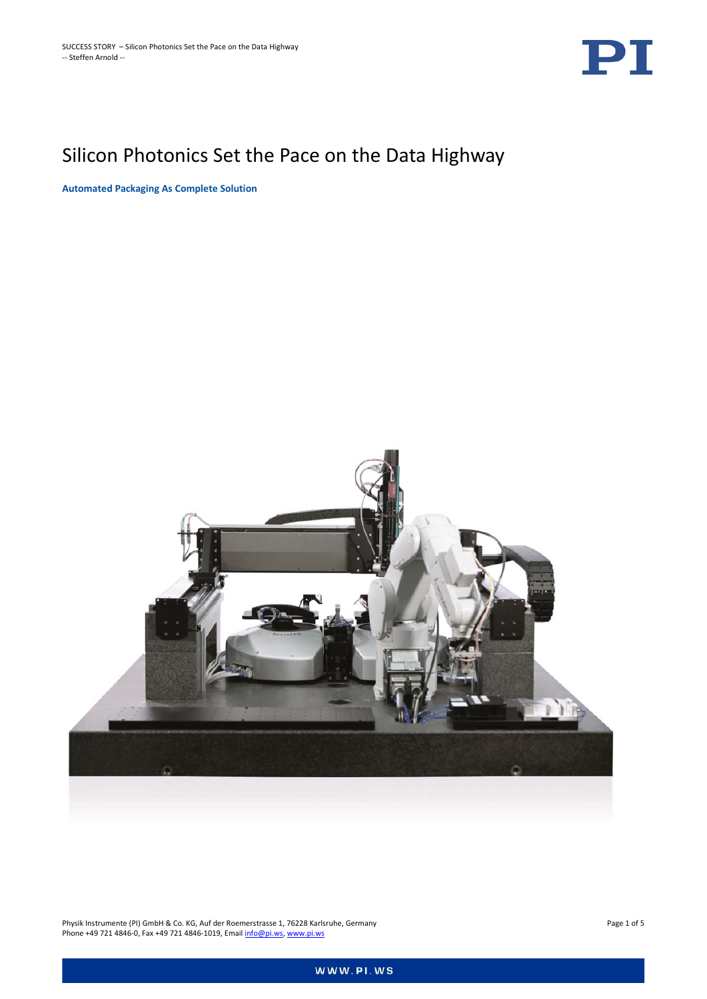

# Silicon Photonics Set the Pace on the Data Highway

**Automated Packaging As Complete Solution**



Physik Instrumente (PI) GmbH & Co. KG, Auf der Roemerstrasse 1, 76228 Karlsruhe, Germany Page 1 of 5 Phone +49 721 4846-0, Fax +49 721 4846-1019, Emai[l info@pi.ws,](mailto:info@pi.ws) [www.pi.ws](http://www.pi.ws/)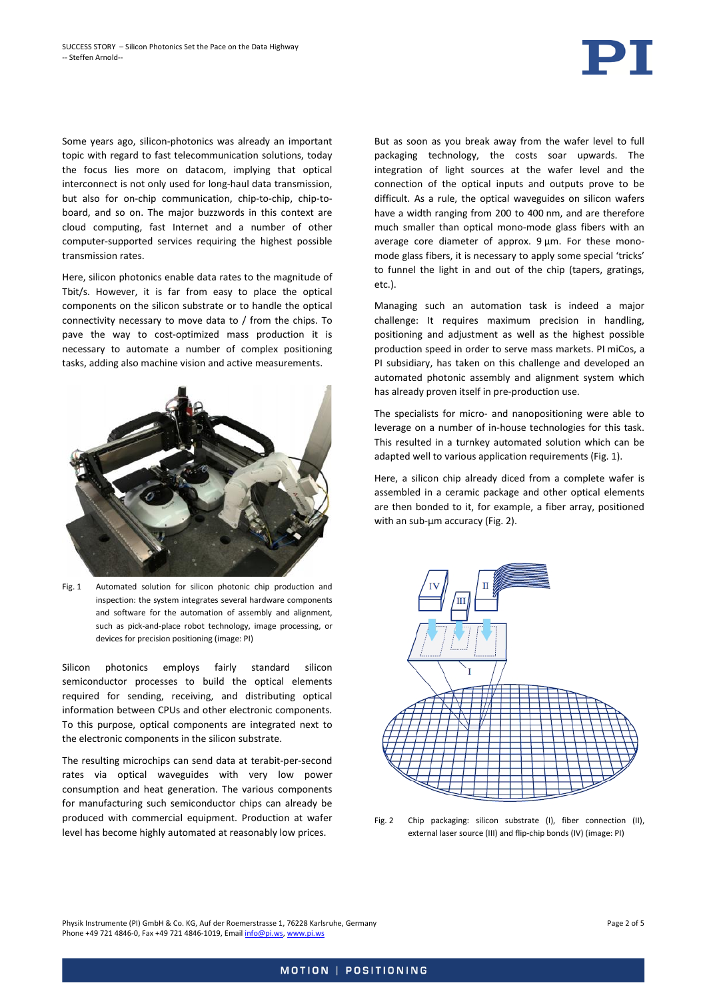Some years ago, silicon-photonics was already an important topic with regard to fast telecommunication solutions, today the focus lies more on datacom, implying that optical interconnect is not only used for long-haul data transmission, but also for on-chip communication, chip-to-chip, chip-toboard, and so on. The major buzzwords in this context are cloud computing, fast Internet and a number of other computer-supported services requiring the highest possible transmission rates.

Here, silicon photonics enable data rates to the magnitude of Tbit/s. However, it is far from easy to place the optical components on the silicon substrate or to handle the optical connectivity necessary to move data to / from the chips. To pave the way to cost-optimized mass production it is necessary to automate a number of complex positioning tasks, adding also machine vision and active measurements.



Fig. 1 Automated solution for silicon photonic chip production and inspection: the system integrates several hardware components and software for the automation of assembly and alignment, such as pick-and-place robot technology, image processing, or devices for precision positioning (image: PI)

<span id="page-1-0"></span>Silicon photonics employs fairly standard silicon semiconductor processes to build the optical elements required for sending, receiving, and distributing optical information between CPUs and other electronic components. To this purpose, optical components are integrated next to the electronic components in the silicon substrate.

The resulting microchips can send data at terabit-per-second rates via optical waveguides with very low power consumption and heat generation. The various components for manufacturing such semiconductor chips can already be produced with commercial equipment. Production at wafer level has become highly automated at reasonably low prices.

But as soon as you break away from the wafer level to full packaging technology, the costs soar upwards. The integration of light sources at the wafer level and the connection of the optical inputs and outputs prove to be difficult. As a rule, the optical waveguides on silicon wafers have a width ranging from 200 to 400 nm, and are therefore much smaller than optical mono-mode glass fibers with an average core diameter of approx. 9 um. For these monomode glass fibers, it is necessary to apply some special 'tricks' to funnel the light in and out of the chip (tapers, gratings, etc.).

Managing such an automation task is indeed a major challenge: It requires maximum precision in handling, positioning and adjustment as well as the highest possible production speed in order to serve mass markets. PI miCos, a PI subsidiary, has taken on this challenge and developed an automated photonic assembly and alignment system which has already proven itself in pre-production use.

The specialists for micro- and nanopositioning were able to leverage on a number of in-house technologies for this task. This resulted in a turnkey automated solution which can be adapted well to various application requirements [\(Fig. 1\)](#page-1-0).

Here, a silicon chip already diced from a complete wafer is assembled in a ceramic package and other optical elements are then bonded to it, for example, a fiber array, positioned with an sub-µm accuracy [\(Fig. 2\)](#page-1-1).



<span id="page-1-1"></span>Fig. 2 Chip packaging: silicon substrate (I), fiber connection (II), external laser source (III) and flip-chip bonds (IV) (image: PI)

Physik Instrumente (PI) GmbH & Co. KG, Auf der Roemerstrasse 1, 76228 Karlsruhe, Germany Page 2 of 5 Phone +49 721 4846-0, Fax +49 721 4846-1019, Emai[l info@pi.ws,](mailto:info@pi.ws) [www.pi.ws](http://www.pi.ws/)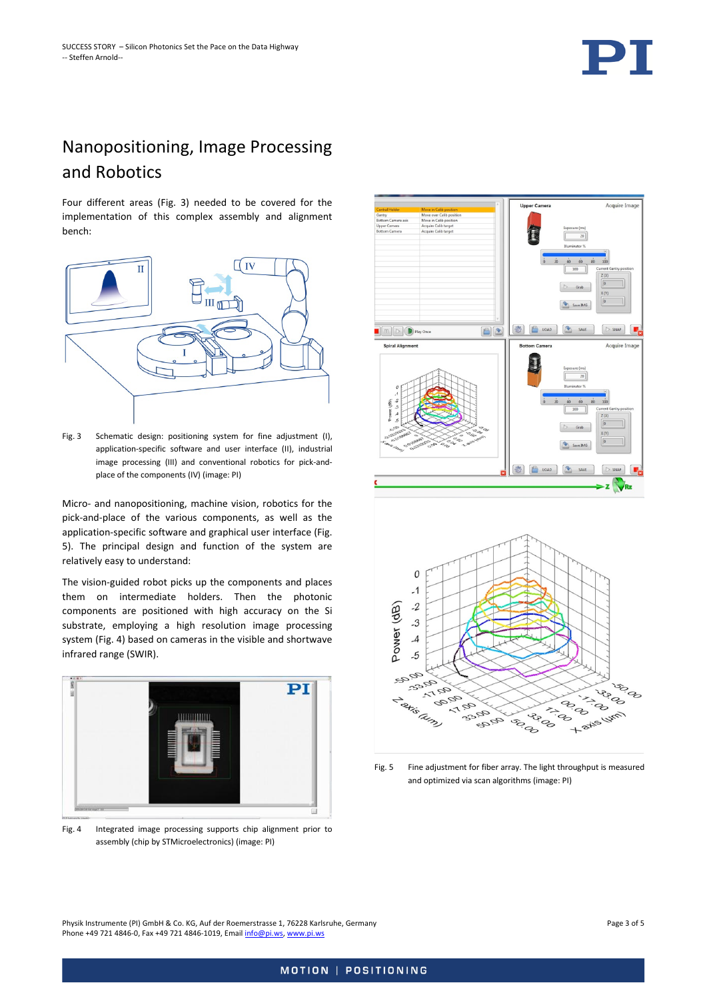

## Nanopositioning, Image Processing and Robotics

Four different areas [\(Fig. 3\)](#page-2-0) needed to be covered for the implementation of this complex assembly and alignment bench:



<span id="page-2-0"></span>Fig. 3 Schematic design: positioning system for fine adjustment (I), application-specific software and user interface (II), industrial image processing (III) and conventional robotics for pick-andplace of the components (IV) (image: PI)

Micro- and nanopositioning, machine vision, robotics for the pick-and-place of the various components, as well as the application-specific software and graphical user interface [\(Fig.](#page-2-1)  [5\)](#page-2-1). The principal design and function of the system are relatively easy to understand:

The vision-guided robot picks up the components and places them on intermediate holders. Then the photonic components are positioned with high accuracy on the Si substrate, employing a high resolution image processing system [\(Fig. 4\)](#page-2-2) based on cameras in the visible and shortwave infrared range (SWIR).



Fig. 4 Integrated image processing supports chip alignment prior to assembly (chip by STMicroelectronics) (image: PI)





<span id="page-2-1"></span>Fig. 5 Fine adjustment for fiber array. The light throughput is measured and optimized via scan algorithms (image: PI)

<span id="page-2-2"></span>Physik Instrumente (PI) GmbH & Co. KG, Auf der Roemerstrasse 1, 76228 Karlsruhe, Germany Page 3 of 5 Phone +49 721 4846-0, Fax +49 721 4846-1019, Emai[l info@pi.ws,](mailto:info@pi.ws) [www.pi.ws](http://www.pi.ws/)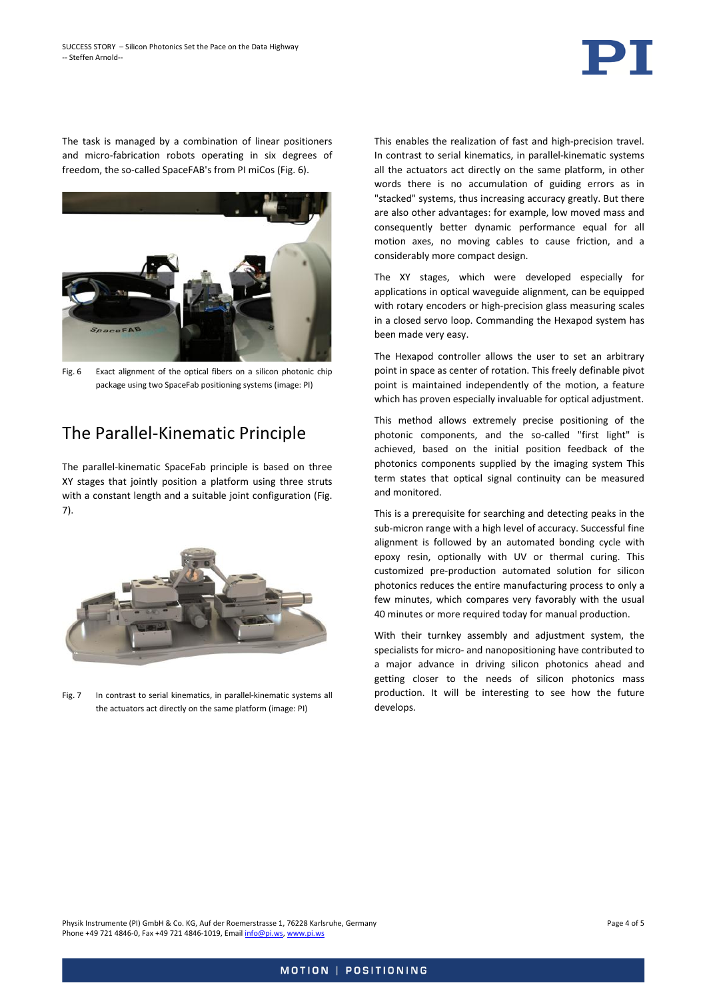

The task is managed by a combination of linear positioners and micro-fabrication robots operating in six degrees of freedom, the so-called SpaceFAB's from PI miCos [\(Fig. 6\)](#page-3-0).



Fig. 6 Exact alignment of the optical fibers on a silicon photonic chip package using two SpaceFab positioning systems (image: PI)

## <span id="page-3-0"></span>The Parallel-Kinematic Principle

The parallel-kinematic SpaceFab principle is based on three XY stages that jointly position a platform using three struts with a constant length and a suitable joint configuration [\(Fig.](#page-3-1)  [7\)](#page-3-1).

<span id="page-3-1"></span>

Fig. 7 In contrast to serial kinematics, in parallel-kinematic systems all the actuators act directly on the same platform (image: PI)

This enables the realization of fast and high-precision travel. In contrast to serial kinematics, in parallel-kinematic systems all the actuators act directly on the same platform, in other words there is no accumulation of guiding errors as in "stacked" systems, thus increasing accuracy greatly. But there are also other advantages: for example, low moved mass and consequently better dynamic performance equal for all motion axes, no moving cables to cause friction, and a considerably more compact design.

The XY stages, which were developed especially for applications in optical waveguide alignment, can be equipped with rotary encoders or high-precision glass measuring scales in a closed servo loop. Commanding the Hexapod system has been made very easy.

The Hexapod controller allows the user to set an arbitrary point in space as center of rotation. This freely definable pivot point is maintained independently of the motion, a feature which has proven especially invaluable for optical adjustment.

This method allows extremely precise positioning of the photonic components, and the so-called "first light" is achieved, based on the initial position feedback of the photonics components supplied by the imaging system This term states that optical signal continuity can be measured and monitored.

This is a prerequisite for searching and detecting peaks in the sub-micron range with a high level of accuracy. Successful fine alignment is followed by an automated bonding cycle with epoxy resin, optionally with UV or thermal curing. This customized pre-production automated solution for silicon photonics reduces the entire manufacturing process to only a few minutes, which compares very favorably with the usual 40 minutes or more required today for manual production.

With their turnkey assembly and adjustment system, the specialists for micro- and nanopositioning have contributed to a major advance in driving silicon photonics ahead and getting closer to the needs of silicon photonics mass production. It will be interesting to see how the future develops.

Physik Instrumente (PI) GmbH & Co. KG, Auf der Roemerstrasse 1, 76228 Karlsruhe, Germany Page 4 of 5 Phone +49 721 4846-0, Fax +49 721 4846-1019, Emai[l info@pi.ws,](mailto:info@pi.ws) [www.pi.ws](http://www.pi.ws/)